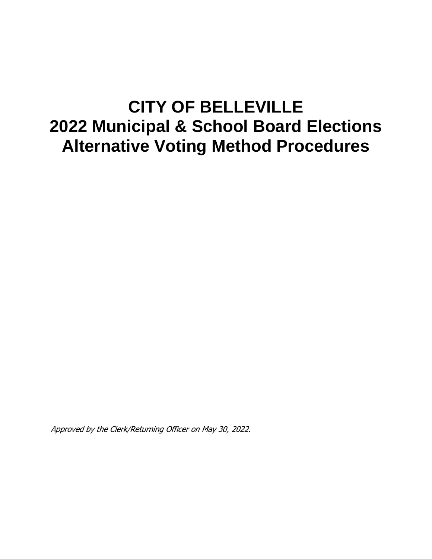# **CITY OF BELLEVILLE 2022 Municipal & School Board Elections Alternative Voting Method Procedures**

Approved by the Clerk/Returning Officer on May 30, 2022.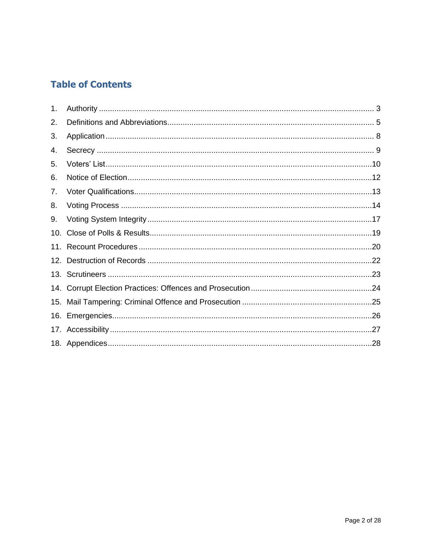## **Table of Contents**

| 1.  |  |
|-----|--|
| 2.  |  |
| 3.  |  |
| 4.  |  |
| 5.  |  |
| 6.  |  |
| 7.  |  |
| 8.  |  |
| 9.  |  |
| 10. |  |
|     |  |
|     |  |
|     |  |
|     |  |
| 15. |  |
|     |  |
|     |  |
|     |  |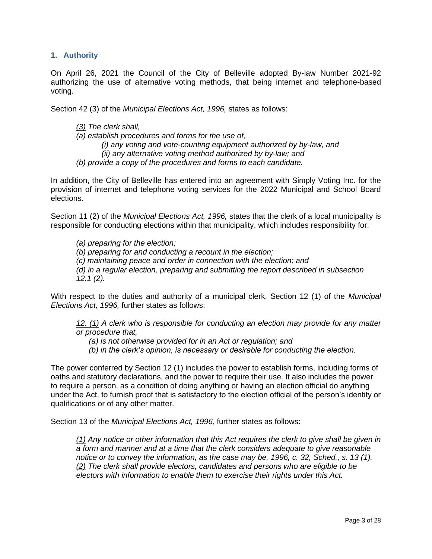#### <span id="page-2-0"></span>**1. Authority**

On April 26, 2021 the Council of the City of Belleville adopted By-law Number 2021-92 authorizing the use of alternative voting methods, that being internet and telephone-based voting.

Section 42 (3) of the *Municipal Elections Act, 1996,* states as follows:

- *[\(3\)](http://www.e-laws.gov.on.ca/html/statutes/french/elaws_statutes_96m32_f.htm#s42s3) The clerk shall,*
- *(a) establish procedures and forms for the use of,*

*(i) any voting and vote-counting equipment authorized by by-law, and (ii) any alternative voting method authorized by by-law; and*

*(b) provide a copy of the procedures and forms to each candidate.*

In addition, the City of Belleville has entered into an agreement with Simply Voting Inc. for the provision of internet and telephone voting services for the 2022 Municipal and School Board elections.

Section 11 (2) of the *Municipal Elections Act, 1996,* states that the clerk of a local municipality is responsible for conducting elections within that municipality, which includes responsibility for:

*(a) preparing for the election; (b) preparing for and conducting a recount in the election; (c) maintaining peace and order in connection with the election; and (d) in a regular election, preparing and submitting the report described in subsection 12.1 (2).*

With respect to the duties and authority of a municipal clerk, Section 12 (1) of the *Municipal Elections Act, 1996,* further states as follows:

*[12.](http://www.e-laws.gov.on.ca/html/statutes/french/elaws_statutes_96m32_f.htm#s12s1) [\(1\)](http://www.e-laws.gov.on.ca/html/statutes/french/elaws_statutes_96m32_f.htm#s12s1) A clerk who is responsible for conducting an election may provide for any matter or procedure that,*

*(a) is not otherwise provided for in an Act or regulation; and*

*(b) in the clerk's opinion, is necessary or desirable for conducting the election.*

The power conferred by Section 12 (1) includes the power to establish forms, including forms of oaths and statutory declarations, and the power to require their use. It also includes the power to require a person, as a condition of doing anything or having an election official do anything under the Act, to furnish proof that is satisfactory to the election official of the person's identity or qualifications or of any other matter.

Section 13 of the *Municipal Elections Act, 1996,* further states as follows:

*[\(1\)](http://www.e-laws.gov.on.ca/html/statutes/french/elaws_statutes_96m32_f.htm#s13s1) Any notice or other information that this Act requires the clerk to give shall be given in a form and manner and at a time that the clerk considers adequate to give reasonable notice or to convey the information, as the case may be. 1996, c. 32, Sched., s. 13 (1). [\(2\)](http://www.e-laws.gov.on.ca/html/statutes/french/elaws_statutes_96m32_f.htm#s13s2) The clerk shall provide electors, candidates and persons who are eligible to be electors with information to enable them to exercise their rights under this Act.*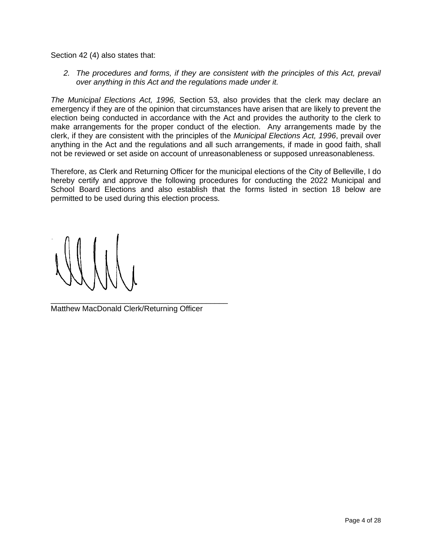Section 42 (4) also states that:

*2. The procedures and forms, if they are consistent with the principles of this Act, prevail over anything in this Act and the regulations made under it.*

*The Municipal Elections Act, 1996,* Section 53, also provides that the clerk may declare an emergency if they are of the opinion that circumstances have arisen that are likely to prevent the election being conducted in accordance with the Act and provides the authority to the clerk to make arrangements for the proper conduct of the election. Any arrangements made by the clerk, if they are consistent with the principles of the *Municipal Elections Act, 1996*, prevail over anything in the Act and the regulations and all such arrangements, if made in good faith, shall not be reviewed or set aside on account of unreasonableness or supposed unreasonableness.

Therefore, as Clerk and Returning Officer for the municipal elections of the City of Belleville, I do hereby certify and approve the following procedures for conducting the 2022 Municipal and School Board Elections and also establish that the forms listed in section 18 below are permitted to be used during this election process.

\_\_\_\_\_\_\_\_\_\_\_\_\_\_\_\_\_\_\_\_\_\_\_\_\_\_\_\_\_\_\_\_\_\_\_\_\_\_\_\_\_ Matthew MacDonald Clerk/Returning Officer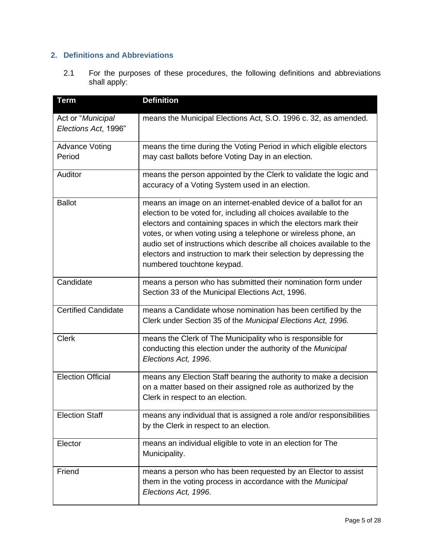### <span id="page-4-0"></span>**2. Definitions and Abbreviations**

2.1 For the purposes of these procedures, the following definitions and abbreviations shall apply:

| <b>Term</b>                               | <b>Definition</b>                                                                                                                                                                                                                                                                                                                                                                                                                                    |
|-------------------------------------------|------------------------------------------------------------------------------------------------------------------------------------------------------------------------------------------------------------------------------------------------------------------------------------------------------------------------------------------------------------------------------------------------------------------------------------------------------|
| Act or "Municipal<br>Elections Act, 1996" | means the Municipal Elections Act, S.O. 1996 c. 32, as amended.                                                                                                                                                                                                                                                                                                                                                                                      |
| <b>Advance Voting</b><br>Period           | means the time during the Voting Period in which eligible electors<br>may cast ballots before Voting Day in an election.                                                                                                                                                                                                                                                                                                                             |
| Auditor                                   | means the person appointed by the Clerk to validate the logic and<br>accuracy of a Voting System used in an election.                                                                                                                                                                                                                                                                                                                                |
| <b>Ballot</b>                             | means an image on an internet-enabled device of a ballot for an<br>election to be voted for, including all choices available to the<br>electors and containing spaces in which the electors mark their<br>votes, or when voting using a telephone or wireless phone, an<br>audio set of instructions which describe all choices available to the<br>electors and instruction to mark their selection by depressing the<br>numbered touchtone keypad. |
| Candidate                                 | means a person who has submitted their nomination form under<br>Section 33 of the Municipal Elections Act, 1996.                                                                                                                                                                                                                                                                                                                                     |
| <b>Certified Candidate</b>                | means a Candidate whose nomination has been certified by the<br>Clerk under Section 35 of the Municipal Elections Act, 1996.                                                                                                                                                                                                                                                                                                                         |
| <b>Clerk</b>                              | means the Clerk of The Municipality who is responsible for<br>conducting this election under the authority of the Municipal<br>Elections Act, 1996.                                                                                                                                                                                                                                                                                                  |
| <b>Election Official</b>                  | means any Election Staff bearing the authority to make a decision<br>on a matter based on their assigned role as authorized by the<br>Clerk in respect to an election.                                                                                                                                                                                                                                                                               |
| <b>Election Staff</b>                     | means any individual that is assigned a role and/or responsibilities<br>by the Clerk in respect to an election.                                                                                                                                                                                                                                                                                                                                      |
| Elector                                   | means an individual eligible to vote in an election for The<br>Municipality.                                                                                                                                                                                                                                                                                                                                                                         |
| Friend                                    | means a person who has been requested by an Elector to assist<br>them in the voting process in accordance with the Municipal<br>Elections Act, 1996.                                                                                                                                                                                                                                                                                                 |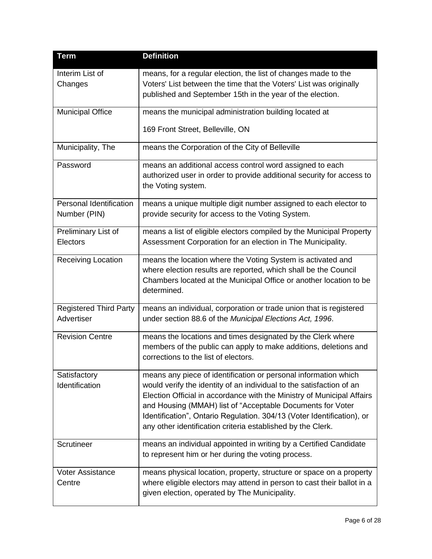| <b>Term</b>                                 | <b>Definition</b>                                                                                                                                                                                                                                                                                                                                                                                                        |
|---------------------------------------------|--------------------------------------------------------------------------------------------------------------------------------------------------------------------------------------------------------------------------------------------------------------------------------------------------------------------------------------------------------------------------------------------------------------------------|
| Interim List of<br>Changes                  | means, for a regular election, the list of changes made to the<br>Voters' List between the time that the Voters' List was originally<br>published and September 15th in the year of the election.                                                                                                                                                                                                                        |
| <b>Municipal Office</b>                     | means the municipal administration building located at<br>169 Front Street, Belleville, ON                                                                                                                                                                                                                                                                                                                               |
| Municipality, The                           | means the Corporation of the City of Belleville                                                                                                                                                                                                                                                                                                                                                                          |
| Password                                    | means an additional access control word assigned to each<br>authorized user in order to provide additional security for access to<br>the Voting system.                                                                                                                                                                                                                                                                  |
| Personal Identification<br>Number (PIN)     | means a unique multiple digit number assigned to each elector to<br>provide security for access to the Voting System.                                                                                                                                                                                                                                                                                                    |
| Preliminary List of<br>Electors             | means a list of eligible electors compiled by the Municipal Property<br>Assessment Corporation for an election in The Municipality.                                                                                                                                                                                                                                                                                      |
| <b>Receiving Location</b>                   | means the location where the Voting System is activated and<br>where election results are reported, which shall be the Council<br>Chambers located at the Municipal Office or another location to be<br>determined.                                                                                                                                                                                                      |
| <b>Registered Third Party</b><br>Advertiser | means an individual, corporation or trade union that is registered<br>under section 88.6 of the Municipal Elections Act, 1996.                                                                                                                                                                                                                                                                                           |
| <b>Revision Centre</b>                      | means the locations and times designated by the Clerk where<br>members of the public can apply to make additions, deletions and<br>corrections to the list of electors.                                                                                                                                                                                                                                                  |
| Satisfactory<br>Identification              | means any piece of identification or personal information which<br>would verify the identity of an individual to the satisfaction of an<br>Election Official in accordance with the Ministry of Municipal Affairs<br>and Housing (MMAH) list of "Acceptable Documents for Voter<br>Identification", Ontario Regulation. 304/13 (Voter Identification), or<br>any other identification criteria established by the Clerk. |
| Scrutineer                                  | means an individual appointed in writing by a Certified Candidate<br>to represent him or her during the voting process.                                                                                                                                                                                                                                                                                                  |
| <b>Voter Assistance</b><br>Centre           | means physical location, property, structure or space on a property<br>where eligible electors may attend in person to cast their ballot in a<br>given election, operated by The Municipality.                                                                                                                                                                                                                           |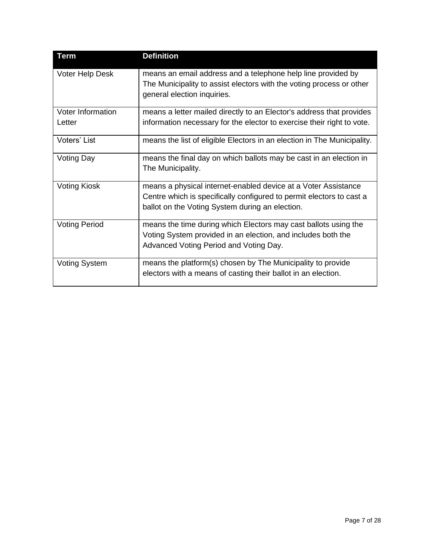| <b>Term</b>                        | <b>Definition</b>                                                                                                                                                                         |
|------------------------------------|-------------------------------------------------------------------------------------------------------------------------------------------------------------------------------------------|
| <b>Voter Help Desk</b>             | means an email address and a telephone help line provided by<br>The Municipality to assist electors with the voting process or other<br>general election inquiries.                       |
| <b>Voter Information</b><br>Letter | means a letter mailed directly to an Elector's address that provides<br>information necessary for the elector to exercise their right to vote.                                            |
| Voters' List                       | means the list of eligible Electors in an election in The Municipality.                                                                                                                   |
| <b>Voting Day</b>                  | means the final day on which ballots may be cast in an election in<br>The Municipality.                                                                                                   |
| <b>Voting Kiosk</b>                | means a physical internet-enabled device at a Voter Assistance<br>Centre which is specifically configured to permit electors to cast a<br>ballot on the Voting System during an election. |
| <b>Voting Period</b>               | means the time during which Electors may cast ballots using the<br>Voting System provided in an election, and includes both the<br>Advanced Voting Period and Voting Day.                 |
| <b>Voting System</b>               | means the platform(s) chosen by The Municipality to provide<br>electors with a means of casting their ballot in an election.                                                              |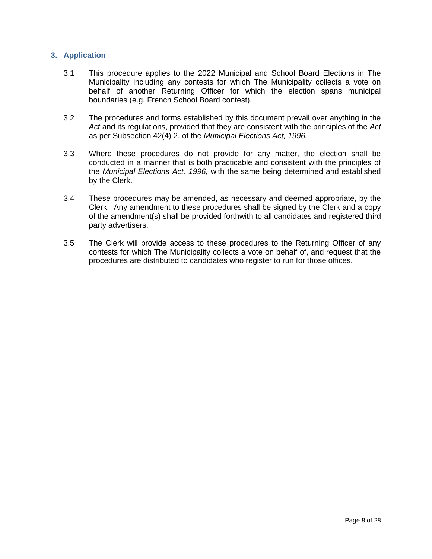#### <span id="page-7-0"></span>**3. Application**

- 3.1 This procedure applies to the 2022 Municipal and School Board Elections in The Municipality including any contests for which The Municipality collects a vote on behalf of another Returning Officer for which the election spans municipal boundaries (e.g. French School Board contest).
- 3.2 The procedures and forms established by this document prevail over anything in the *Act* and its regulations, provided that they are consistent with the principles of the *Act*  as per Subsection 42(4) 2. of the *Municipal Elections Act, 1996.*
- 3.3 Where these procedures do not provide for any matter, the election shall be conducted in a manner that is both practicable and consistent with the principles of the *Municipal Elections Act, 1996,* with the same being determined and established by the Clerk.
- 3.4 These procedures may be amended, as necessary and deemed appropriate, by the Clerk. Any amendment to these procedures shall be signed by the Clerk and a copy of the amendment(s) shall be provided forthwith to all candidates and registered third party advertisers.
- 3.5 The Clerk will provide access to these procedures to the Returning Officer of any contests for which The Municipality collects a vote on behalf of, and request that the procedures are distributed to candidates who register to run for those offices.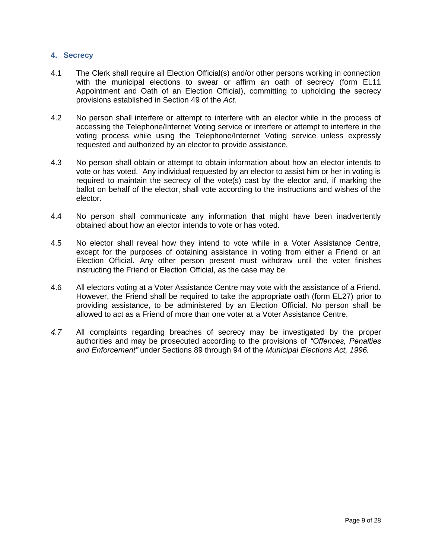#### <span id="page-8-0"></span>**4. Secrecy**

- 4.1 The Clerk shall require all Election Official(s) and/or other persons working in connection with the municipal elections to swear or affirm an oath of secrecy (form EL11 Appointment and Oath of an Election Official), committing to upholding the secrecy provisions established in Section 49 of the *Act.*
- 4.2 No person shall interfere or attempt to interfere with an elector while in the process of accessing the Telephone/Internet Voting service or interfere or attempt to interfere in the voting process while using the Telephone/Internet Voting service unless expressly requested and authorized by an elector to provide assistance.
- 4.3 No person shall obtain or attempt to obtain information about how an elector intends to vote or has voted. Any individual requested by an elector to assist him or her in voting is required to maintain the secrecy of the vote(s) cast by the elector and, if marking the ballot on behalf of the elector, shall vote according to the instructions and wishes of the elector.
- 4.4 No person shall communicate any information that might have been inadvertently obtained about how an elector intends to vote or has voted.
- 4.5 No elector shall reveal how they intend to vote while in a Voter Assistance Centre, except for the purposes of obtaining assistance in voting from either a Friend or an Election Official. Any other person present must withdraw until the voter finishes instructing the Friend or Election Official, as the case may be.
- 4.6 All electors voting at a Voter Assistance Centre may vote with the assistance of a Friend. However, the Friend shall be required to take the appropriate oath (form EL27) prior to providing assistance, to be administered by an Election Official. No person shall be allowed to act as a Friend of more than one voter at a Voter Assistance Centre.
- *4.7* All complaints regarding breaches of secrecy may be investigated by the proper authorities and may be prosecuted according to the provisions of *"Offences, Penalties and Enforcement"* under Sections 89 through 94 of the *Municipal Elections Act, 1996.*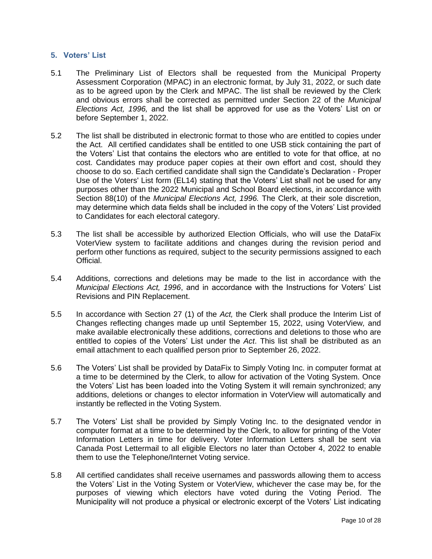#### <span id="page-9-0"></span>**5. Voters' List**

- 5.1 The Preliminary List of Electors shall be requested from the Municipal Property Assessment Corporation (MPAC) in an electronic format, by July 31, 2022, or such date as to be agreed upon by the Clerk and MPAC. The list shall be reviewed by the Clerk and obvious errors shall be corrected as permitted under Section 22 of the *Municipal Elections Act, 1996,* and the list shall be approved for use as the Voters' List on or before September 1, 2022.
- 5.2 The list shall be distributed in electronic format to those who are entitled to copies under the Act. All certified candidates shall be entitled to one USB stick containing the part of the Voters' List that contains the electors who are entitled to vote for that office, at no cost. Candidates may produce paper copies at their own effort and cost, should they choose to do so. Each certified candidate shall sign the Candidate's Declaration - Proper Use of the Voters' List form (EL14) stating that the Voters' List shall not be used for any purposes other than the 2022 Municipal and School Board elections, in accordance with Section 88(10) of the *Municipal Elections Act, 1996.* The Clerk, at their sole discretion, may determine which data fields shall be included in the copy of the Voters' List provided to Candidates for each electoral category.
- 5.3 The list shall be accessible by authorized Election Officials, who will use the DataFix VoterView system to facilitate additions and changes during the revision period and perform other functions as required, subject to the security permissions assigned to each Official.
- 5.4 Additions, corrections and deletions may be made to the list in accordance with the *Municipal Elections Act, 1996*, and in accordance with the Instructions for Voters' List Revisions and PIN Replacement.
- 5.5 In accordance with Section 27 (1) of the *Act,* the Clerk shall produce the Interim List of Changes reflecting changes made up until September 15, 2022, using VoterView*,* and make available electronically these additions, corrections and deletions to those who are entitled to copies of the Voters' List under the *Act*. This list shall be distributed as an email attachment to each qualified person prior to September 26, 2022.
- 5.6 The Voters' List shall be provided by DataFix to Simply Voting Inc. in computer format at a time to be determined by the Clerk, to allow for activation of the Voting System. Once the Voters' List has been loaded into the Voting System it will remain synchronized; any additions, deletions or changes to elector information in VoterView will automatically and instantly be reflected in the Voting System.
- 5.7 The Voters' List shall be provided by Simply Voting Inc. to the designated vendor in computer format at a time to be determined by the Clerk, to allow for printing of the Voter Information Letters in time for delivery. Voter Information Letters shall be sent via Canada Post Lettermail to all eligible Electors no later than October 4, 2022 to enable them to use the Telephone/Internet Voting service.
- 5.8 All certified candidates shall receive usernames and passwords allowing them to access the Voters' List in the Voting System or VoterView, whichever the case may be, for the purposes of viewing which electors have voted during the Voting Period. The Municipality will not produce a physical or electronic excerpt of the Voters' List indicating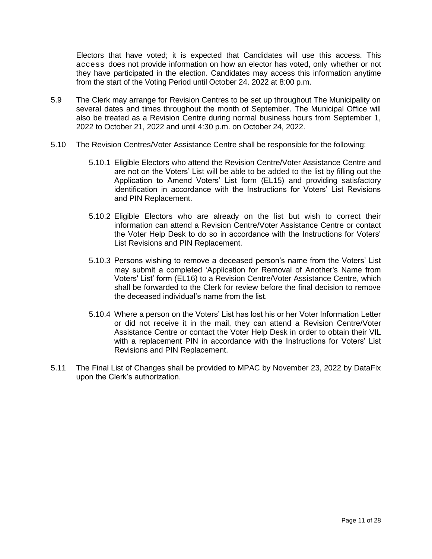Electors that have voted; it is expected that Candidates will use this access. This access does not provide information on how an elector has voted, only whether or not they have participated in the election. Candidates may access this information anytime from the start of the Voting Period until October 24. 2022 at 8:00 p.m.

- 5.9 The Clerk may arrange for Revision Centres to be set up throughout The Municipality on several dates and times throughout the month of September. The Municipal Office will also be treated as a Revision Centre during normal business hours from September 1, 2022 to October 21, 2022 and until 4:30 p.m. on October 24, 2022.
- 5.10 The Revision Centres/Voter Assistance Centre shall be responsible for the following:
	- 5.10.1 Eligible Electors who attend the Revision Centre/Voter Assistance Centre and are not on the Voters' List will be able to be added to the list by filling out the Application to Amend Voters' List form (EL15) and providing satisfactory identification in accordance with the Instructions for Voters' List Revisions and PIN Replacement.
	- 5.10.2 Eligible Electors who are already on the list but wish to correct their information can attend a Revision Centre/Voter Assistance Centre or contact the Voter Help Desk to do so in accordance with the Instructions for Voters' List Revisions and PIN Replacement.
	- 5.10.3 Persons wishing to remove a deceased person's name from the Voters' List may submit a completed 'Application for Removal of Another's Name from Voters' List' form (EL16) to a Revision Centre/Voter Assistance Centre, which shall be forwarded to the Clerk for review before the final decision to remove the deceased individual's name from the list.
	- 5.10.4 Where a person on the Voters' List has lost his or her Voter Information Letter or did not receive it in the mail, they can attend a Revision Centre/Voter Assistance Centre or contact the Voter Help Desk in order to obtain their VIL with a replacement PIN in accordance with the Instructions for Voters' List Revisions and PIN Replacement.
- 5.11 The Final List of Changes shall be provided to MPAC by November 23, 2022 by DataFix upon the Clerk's authorization.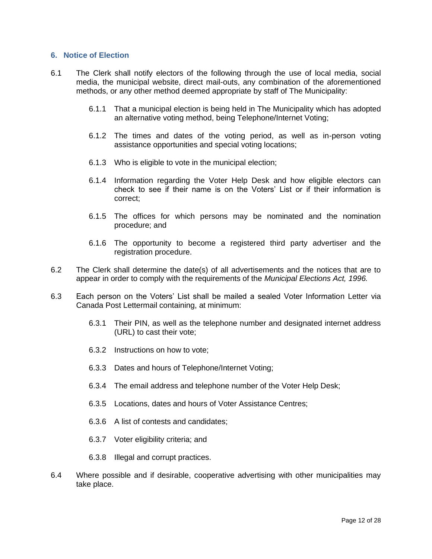#### <span id="page-11-0"></span>**6. Notice of Election**

- 6.1 The Clerk shall notify electors of the following through the use of local media, social media, the municipal website, direct mail-outs, any combination of the aforementioned methods, or any other method deemed appropriate by staff of The Municipality:
	- 6.1.1 That a municipal election is being held in The Municipality which has adopted an alternative voting method, being Telephone/Internet Voting;
	- 6.1.2 The times and dates of the voting period, as well as in-person voting assistance opportunities and special voting locations;
	- 6.1.3 Who is eligible to vote in the municipal election;
	- 6.1.4 Information regarding the Voter Help Desk and how eligible electors can check to see if their name is on the Voters' List or if their information is correct;
	- 6.1.5 The offices for which persons may be nominated and the nomination procedure; and
	- 6.1.6 The opportunity to become a registered third party advertiser and the registration procedure.
- 6.2 The Clerk shall determine the date(s) of all advertisements and the notices that are to appear in order to comply with the requirements of the *Municipal Elections Act, 1996.*
- 6.3 Each person on the Voters' List shall be mailed a sealed Voter Information Letter via Canada Post Lettermail containing, at minimum:
	- 6.3.1 Their PIN, as well as the telephone number and designated internet address (URL) to cast their vote;
	- 6.3.2 Instructions on how to vote;
	- 6.3.3 Dates and hours of Telephone/Internet Voting;
	- 6.3.4 The email address and telephone number of the Voter Help Desk;
	- 6.3.5 Locations, dates and hours of Voter Assistance Centres;
	- 6.3.6 A list of contests and candidates;
	- 6.3.7 Voter eligibility criteria; and
	- 6.3.8 Illegal and corrupt practices.
- 6.4 Where possible and if desirable, cooperative advertising with other municipalities may take place.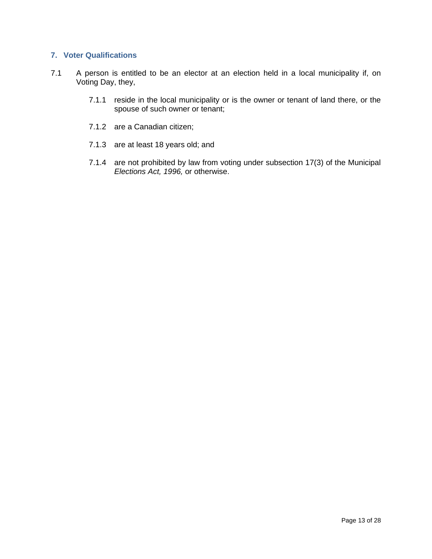#### <span id="page-12-0"></span>**7. Voter Qualifications**

- 7.1 A person is entitled to be an elector at an election held in a local municipality if, on Voting Day, they,
	- 7.1.1 reside in the local municipality or is the owner or tenant of land there, or the spouse of such owner or tenant;
	- 7.1.2 are a Canadian citizen;
	- 7.1.3 are at least 18 years old; and
	- 7.1.4 are not prohibited by law from voting under subsection 17(3) of the Municipal *Elections Act, 1996,* or otherwise.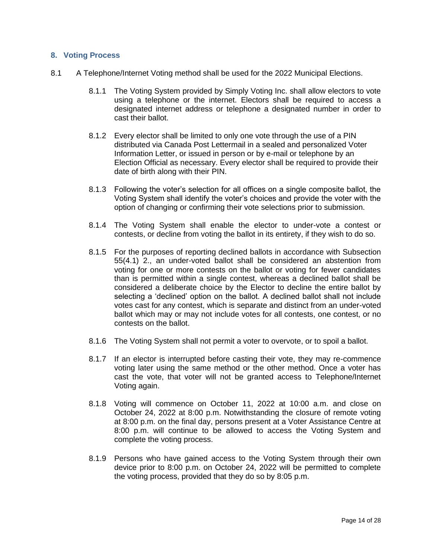#### <span id="page-13-0"></span>**8. Voting Process**

- 8.1 A Telephone/Internet Voting method shall be used for the 2022 Municipal Elections.
	- 8.1.1 The Voting System provided by Simply Voting Inc. shall allow electors to vote using a telephone or the internet. Electors shall be required to access a designated internet address or telephone a designated number in order to cast their ballot.
	- 8.1.2 Every elector shall be limited to only one vote through the use of a PIN distributed via Canada Post Lettermail in a sealed and personalized Voter Information Letter, or issued in person or by e-mail or telephone by an Election Official as necessary. Every elector shall be required to provide their date of birth along with their PIN.
	- 8.1.3 Following the voter's selection for all offices on a single composite ballot, the Voting System shall identify the voter's choices and provide the voter with the option of changing or confirming their vote selections prior to submission.
	- 8.1.4 The Voting System shall enable the elector to under-vote a contest or contests, or decline from voting the ballot in its entirety, if they wish to do so.
	- 8.1.5 For the purposes of reporting declined ballots in accordance with Subsection 55(4.1) 2., an under-voted ballot shall be considered an abstention from voting for one or more contests on the ballot or voting for fewer candidates than is permitted within a single contest, whereas a declined ballot shall be considered a deliberate choice by the Elector to decline the entire ballot by selecting a 'declined' option on the ballot. A declined ballot shall not include votes cast for any contest, which is separate and distinct from an under-voted ballot which may or may not include votes for all contests, one contest, or no contests on the ballot.
	- 8.1.6 The Voting System shall not permit a voter to overvote, or to spoil a ballot.
	- 8.1.7 If an elector is interrupted before casting their vote, they may re-commence voting later using the same method or the other method. Once a voter has cast the vote, that voter will not be granted access to Telephone/Internet Voting again.
	- 8.1.8 Voting will commence on October 11, 2022 at 10:00 a.m. and close on October 24, 2022 at 8:00 p.m. Notwithstanding the closure of remote voting at 8:00 p.m. on the final day, persons present at a Voter Assistance Centre at 8:00 p.m. will continue to be allowed to access the Voting System and complete the voting process.
	- 8.1.9 Persons who have gained access to the Voting System through their own device prior to 8:00 p.m. on October 24, 2022 will be permitted to complete the voting process, provided that they do so by 8:05 p.m.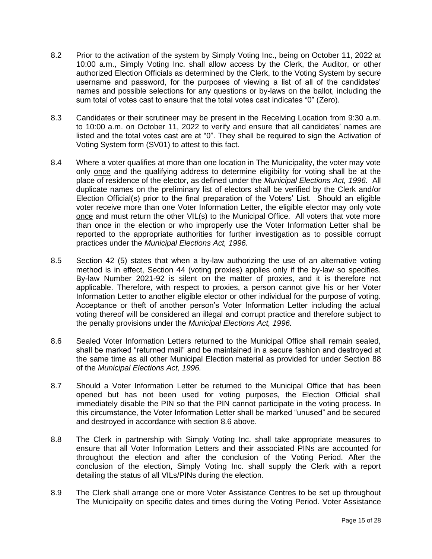- 8.2 Prior to the activation of the system by Simply Voting Inc., being on October 11, 2022 at 10:00 a.m., Simply Voting Inc. shall allow access by the Clerk, the Auditor, or other authorized Election Officials as determined by the Clerk, to the Voting System by secure username and password, for the purposes of viewing a list of all of the candidates' names and possible selections for any questions or by-laws on the ballot, including the sum total of votes cast to ensure that the total votes cast indicates "0" (Zero).
- 8.3 Candidates or their scrutineer may be present in the Receiving Location from 9:30 a.m. to 10:00 a.m. on October 11, 2022 to verify and ensure that all candidates' names are listed and the total votes cast are at "0". They shall be required to sign the Activation of Voting System form (SV01) to attest to this fact.
- 8.4 Where a voter qualifies at more than one location in The Municipality, the voter may vote only once and the qualifying address to determine eligibility for voting shall be at the place of residence of the elector, as defined under the *Municipal Elections Act, 1996.* All duplicate names on the preliminary list of electors shall be verified by the Clerk and/or Election Official(s) prior to the final preparation of the Voters' List. Should an eligible voter receive more than one Voter Information Letter, the eligible elector may only vote once and must return the other VIL(s) to the Municipal Office. All voters that vote more than once in the election or who improperly use the Voter Information Letter shall be reported to the appropriate authorities for further investigation as to possible corrupt practices under the *Municipal Elections Act, 1996.*
- 8.5 Section 42 (5) states that when a by-law authorizing the use of an alternative voting method is in effect, Section 44 (voting proxies) applies only if the by-law so specifies. By-law Number 2021-92 is silent on the matter of proxies, and it is therefore not applicable. Therefore, with respect to proxies, a person cannot give his or her Voter Information Letter to another eligible elector or other individual for the purpose of voting. Acceptance or theft of another person's Voter Information Letter including the actual voting thereof will be considered an illegal and corrupt practice and therefore subject to the penalty provisions under the *Municipal Elections Act, 1996.*
- <span id="page-14-0"></span>8.6 Sealed Voter Information Letters returned to the Municipal Office shall remain sealed, shall be marked "returned mail" and be maintained in a secure fashion and destroyed at the same time as all other Municipal Election material as provided for under Section 88 of the *Municipal Elections Act, 1996.*
- 8.7 Should a Voter Information Letter be returned to the Municipal Office that has been opened but has not been used for voting purposes, the Election Official shall immediately disable the PIN so that the PIN cannot participate in the voting process. In this circumstance, the Voter Information Letter shall be marked "unused" and be secured and destroyed in accordance with section [8.6](#page-14-0) above.
- 8.8 The Clerk in partnership with Simply Voting Inc. shall take appropriate measures to ensure that all Voter Information Letters and their associated PINs are accounted for throughout the election and after the conclusion of the Voting Period. After the conclusion of the election, Simply Voting Inc. shall supply the Clerk with a report detailing the status of all VILs/PINs during the election.
- 8.9 The Clerk shall arrange one or more Voter Assistance Centres to be set up throughout The Municipality on specific dates and times during the Voting Period. Voter Assistance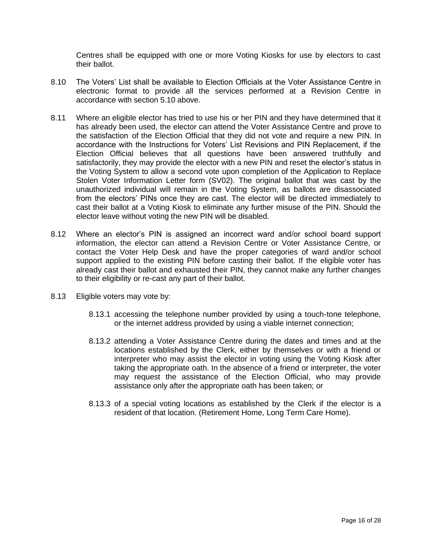Centres shall be equipped with one or more Voting Kiosks for use by electors to cast their ballot.

- 8.10 The Voters' List shall be available to Election Officials at the Voter Assistance Centre in electronic format to provide all the services performed at a Revision Centre in accordance with section 5.10 above.
- 8.11 Where an eligible elector has tried to use his or her PIN and they have determined that it has already been used, the elector can attend the Voter Assistance Centre and prove to the satisfaction of the Election Official that they did not vote and require a new PIN. In accordance with the Instructions for Voters' List Revisions and PIN Replacement, if the Election Official believes that all questions have been answered truthfully and satisfactorily, they may provide the elector with a new PIN and reset the elector's status in the Voting System to allow a second vote upon completion of the Application to Replace Stolen Voter Information Letter form (SV02). The original ballot that was cast by the unauthorized individual will remain in the Voting System, as ballots are disassociated from the electors' PINs once they are cast. The elector will be directed immediately to cast their ballot at a Voting Kiosk to eliminate any further misuse of the PIN. Should the elector leave without voting the new PIN will be disabled.
- 8.12 Where an elector's PIN is assigned an incorrect ward and/or school board support information, the elector can attend a Revision Centre or Voter Assistance Centre, or contact the Voter Help Desk and have the proper categories of ward and/or school support applied to the existing PIN before casting their ballot. If the eligible voter has already cast their ballot and exhausted their PIN, they cannot make any further changes to their eligibility or re-cast any part of their ballot.
- 8.13 Eligible voters may vote by:
	- 8.13.1 accessing the telephone number provided by using a touch-tone telephone, or the internet address provided by using a viable internet connection;
	- 8.13.2 attending a Voter Assistance Centre during the dates and times and at the locations established by the Clerk, either by themselves or with a friend or interpreter who may assist the elector in voting using the Voting Kiosk after taking the appropriate oath. In the absence of a friend or interpreter, the voter may request the assistance of the Election Official, who may provide assistance only after the appropriate oath has been taken; or
	- 8.13.3 of a special voting locations as established by the Clerk if the elector is a resident of that location. (Retirement Home, Long Term Care Home).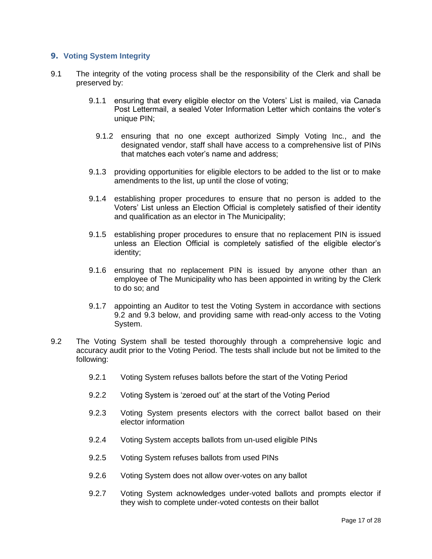#### <span id="page-16-0"></span>**9. Voting System Integrity**

- 9.1 The integrity of the voting process shall be the responsibility of the Clerk and shall be preserved by:
	- 9.1.1 ensuring that every eligible elector on the Voters' List is mailed, via Canada Post Lettermail, a sealed Voter Information Letter which contains the voter's unique PIN;
		- 9.1.2 ensuring that no one except authorized Simply Voting Inc., and the designated vendor, staff shall have access to a comprehensive list of PINs that matches each voter's name and address;
	- 9.1.3 providing opportunities for eligible electors to be added to the list or to make amendments to the list, up until the close of voting;
	- 9.1.4 establishing proper procedures to ensure that no person is added to the Voters' List unless an Election Official is completely satisfied of their identity and qualification as an elector in The Municipality;
	- 9.1.5 establishing proper procedures to ensure that no replacement PIN is issued unless an Election Official is completely satisfied of the eligible elector's identity;
	- 9.1.6 ensuring that no replacement PIN is issued by anyone other than an employee of The Municipality who has been appointed in writing by the Clerk to do so; and
	- 9.1.7 appointing an Auditor to test the Voting System in accordance with sections 9.2 and 9.3 below, and providing same with read-only access to the Voting System.
- 9.2 The Voting System shall be tested thoroughly through a comprehensive logic and accuracy audit prior to the Voting Period. The tests shall include but not be limited to the following:
	- 9.2.1 Voting System refuses ballots before the start of the Voting Period
	- 9.2.2 Voting System is 'zeroed out' at the start of the Voting Period
	- 9.2.3 Voting System presents electors with the correct ballot based on their elector information
	- 9.2.4 Voting System accepts ballots from un-used eligible PINs
	- 9.2.5 Voting System refuses ballots from used PINs
	- 9.2.6 Voting System does not allow over-votes on any ballot
	- 9.2.7 Voting System acknowledges under-voted ballots and prompts elector if they wish to complete under-voted contests on their ballot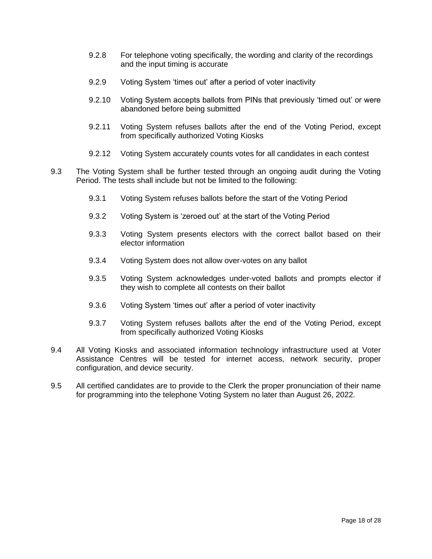- 9.2.8 For telephone voting specifically, the wording and clarity of the recordings and the input timing is accurate
- 9.2.9 Voting System 'times out' after a period of voter inactivity
- 9.2.10 Voting System accepts ballots from PINs that previously 'timed out' or were abandoned before being submitted
- 9.2.11 Voting System refuses ballots after the end of the Voting Period, except from specifically authorized Voting Kiosks
- 9.2.12 Voting System accurately counts votes for all candidates in each contest
- 9.3 The Voting System shall be further tested through an ongoing audit during the Voting Period. The tests shall include but not be limited to the following:
	- 9.3.1 Voting System refuses ballots before the start of the Voting Period
	- 9.3.2 Voting System is 'zeroed out' at the start of the Voting Period
	- 9.3.3 Voting System presents electors with the correct ballot based on their elector information
	- 9.3.4 Voting System does not allow over-votes on any ballot
	- 9.3.5 Voting System acknowledges under-voted ballots and prompts elector if they wish to complete all contests on their ballot
	- 9.3.6 Voting System 'times out' after a period of voter inactivity
	- 9.3.7 Voting System refuses ballots after the end of the Voting Period, except from specifically authorized Voting Kiosks
- 9.4 All Voting Kiosks and associated information technology infrastructure used at Voter Assistance Centres will be tested for internet access, network security, proper configuration, and device security.
- 9.5 All certified candidates are to provide to the Clerk the proper pronunciation of their name for programming into the telephone Voting System no later than August 26, 2022.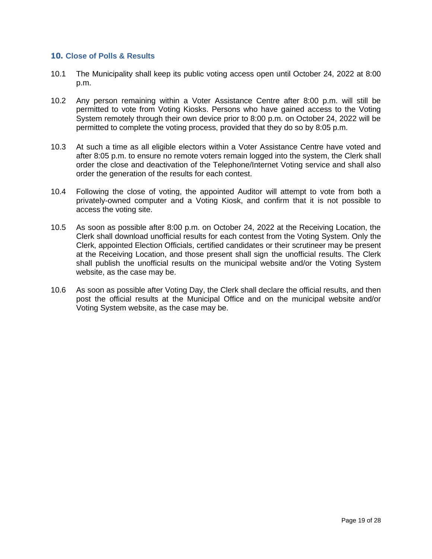#### <span id="page-18-0"></span>**10. Close of Polls & Results**

- 10.1 The Municipality shall keep its public voting access open until October 24, 2022 at 8:00 p.m.
- 10.2 Any person remaining within a Voter Assistance Centre after 8:00 p.m. will still be permitted to vote from Voting Kiosks. Persons who have gained access to the Voting System remotely through their own device prior to 8:00 p.m. on October 24, 2022 will be permitted to complete the voting process, provided that they do so by 8:05 p.m.
- 10.3 At such a time as all eligible electors within a Voter Assistance Centre have voted and after 8:05 p.m. to ensure no remote voters remain logged into the system, the Clerk shall order the close and deactivation of the Telephone/Internet Voting service and shall also order the generation of the results for each contest.
- 10.4 Following the close of voting, the appointed Auditor will attempt to vote from both a privately-owned computer and a Voting Kiosk, and confirm that it is not possible to access the voting site.
- 10.5 As soon as possible after 8:00 p.m. on October 24, 2022 at the Receiving Location, the Clerk shall download unofficial results for each contest from the Voting System. Only the Clerk, appointed Election Officials, certified candidates or their scrutineer may be present at the Receiving Location, and those present shall sign the unofficial results. The Clerk shall publish the unofficial results on the municipal website and/or the Voting System website, as the case may be.
- 10.6 As soon as possible after Voting Day, the Clerk shall declare the official results, and then post the official results at the Municipal Office and on the municipal website and/or Voting System website, as the case may be.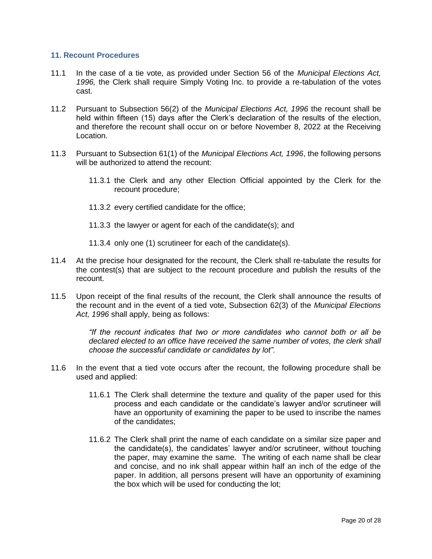#### <span id="page-19-0"></span>**11. Recount Procedures**

- 11.1 In the case of a tie vote, as provided under Section 56 of the *Municipal Elections Act, 1996,* the Clerk shall require Simply Voting Inc. to provide a re-tabulation of the votes cast.
- 11.2 Pursuant to Subsection 56(2) of the *Municipal Elections Act, 1996* the recount shall be held within fifteen (15) days after the Clerk's declaration of the results of the election, and therefore the recount shall occur on or before November 8, 2022 at the Receiving Location.
- 11.3 Pursuant to Subsection 61(1) of the *Municipal Elections Act, 1996*, the following persons will be authorized to attend the recount:
	- 11.3.1 the Clerk and any other Election Official appointed by the Clerk for the recount procedure;
	- 11.3.2 every certified candidate for the office;
	- 11.3.3 the lawyer or agent for each of the candidate(s); and
	- 11.3.4 only one (1) scrutineer for each of the candidate(s).
- 11.4 At the precise hour designated for the recount, the Clerk shall re-tabulate the results for the contest(s) that are subject to the recount procedure and publish the results of the recount.
- 11.5 Upon receipt of the final results of the recount, the Clerk shall announce the results of the recount and in the event of a tied vote, Subsection 62(3) of the *Municipal Elections Act, 1996* shall apply, being as follows:

*"If the recount indicates that two or more candidates who cannot both or all be declared elected to an office have received the same number of votes, the clerk shall choose the successful candidate or candidates by lot".*

- <span id="page-19-2"></span><span id="page-19-1"></span>11.6 In the event that a tied vote occurs after the recount, the following procedure shall be used and applied:
	- 11.6.1 The Clerk shall determine the texture and quality of the paper used for this process and each candidate or the candidate's lawyer and/or scrutineer will have an opportunity of examining the paper to be used to inscribe the names of the candidates;
	- 11.6.2 The Clerk shall print the name of each candidate on a similar size paper and the candidate(s), the candidates' lawyer and/or scrutineer, without touching the paper, may examine the same. The writing of each name shall be clear and concise, and no ink shall appear within half an inch of the edge of the paper. In addition, all persons present will have an opportunity of examining the box which will be used for conducting the lot;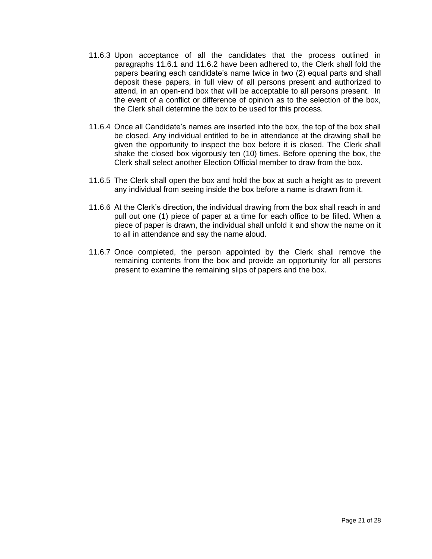- 11.6.3 Upon acceptance of all the candidates that the process outlined in paragraphs [11.6.1](#page-19-1) and [11.6.2](#page-19-2) have been adhered to, the Clerk shall fold the papers bearing each candidate's name twice in two (2) equal parts and shall deposit these papers, in full view of all persons present and authorized to attend, in an open-end box that will be acceptable to all persons present. In the event of a conflict or difference of opinion as to the selection of the box, the Clerk shall determine the box to be used for this process.
- 11.6.4 Once all Candidate's names are inserted into the box, the top of the box shall be closed. Any individual entitled to be in attendance at the drawing shall be given the opportunity to inspect the box before it is closed. The Clerk shall shake the closed box vigorously ten (10) times. Before opening the box, the Clerk shall select another Election Official member to draw from the box.
- 11.6.5 The Clerk shall open the box and hold the box at such a height as to prevent any individual from seeing inside the box before a name is drawn from it.
- 11.6.6 At the Clerk's direction, the individual drawing from the box shall reach in and pull out one (1) piece of paper at a time for each office to be filled. When a piece of paper is drawn, the individual shall unfold it and show the name on it to all in attendance and say the name aloud.
- 11.6.7 Once completed, the person appointed by the Clerk shall remove the remaining contents from the box and provide an opportunity for all persons present to examine the remaining slips of papers and the box.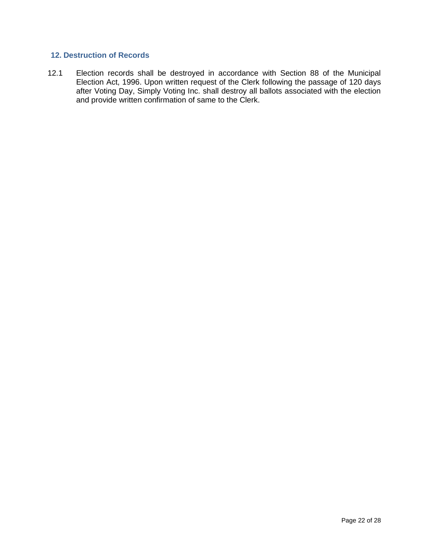#### <span id="page-21-0"></span>**12. Destruction of Records**

12.1 Election records shall be destroyed in accordance with Section 88 of the Municipal Election Act, 1996. Upon written request of the Clerk following the passage of 120 days after Voting Day, Simply Voting Inc. shall destroy all ballots associated with the election and provide written confirmation of same to the Clerk.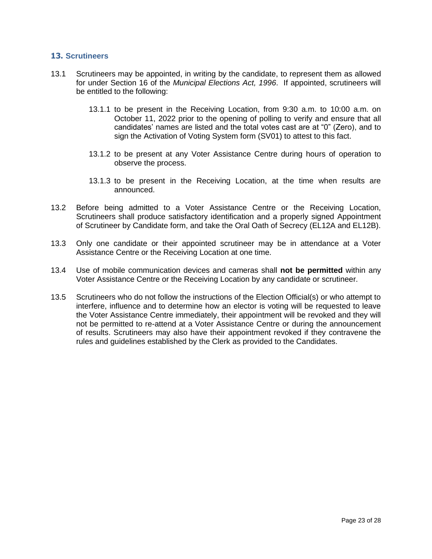#### <span id="page-22-0"></span>**13. Scrutineers**

- 13.1 Scrutineers may be appointed, in writing by the candidate, to represent them as allowed for under Section 16 of the *Municipal Elections Act, 1996*. If appointed, scrutineers will be entitled to the following:
	- 13.1.1 to be present in the Receiving Location, from 9:30 a.m. to 10:00 a.m. on October 11, 2022 prior to the opening of polling to verify and ensure that all candidates' names are listed and the total votes cast are at "0" (Zero), and to sign the Activation of Voting System form (SV01) to attest to this fact.
	- 13.1.2 to be present at any Voter Assistance Centre during hours of operation to observe the process.
	- 13.1.3 to be present in the Receiving Location, at the time when results are announced.
- 13.2 Before being admitted to a Voter Assistance Centre or the Receiving Location, Scrutineers shall produce satisfactory identification and a properly signed Appointment of Scrutineer by Candidate form, and take the Oral Oath of Secrecy (EL12A and EL12B).
- 13.3 Only one candidate or their appointed scrutineer may be in attendance at a Voter Assistance Centre or the Receiving Location at one time.
- 13.4 Use of mobile communication devices and cameras shall **not be permitted** within any Voter Assistance Centre or the Receiving Location by any candidate or scrutineer.
- 13.5 Scrutineers who do not follow the instructions of the Election Official(s) or who attempt to interfere, influence and to determine how an elector is voting will be requested to leave the Voter Assistance Centre immediately, their appointment will be revoked and they will not be permitted to re-attend at a Voter Assistance Centre or during the announcement of results. Scrutineers may also have their appointment revoked if they contravene the rules and guidelines established by the Clerk as provided to the Candidates.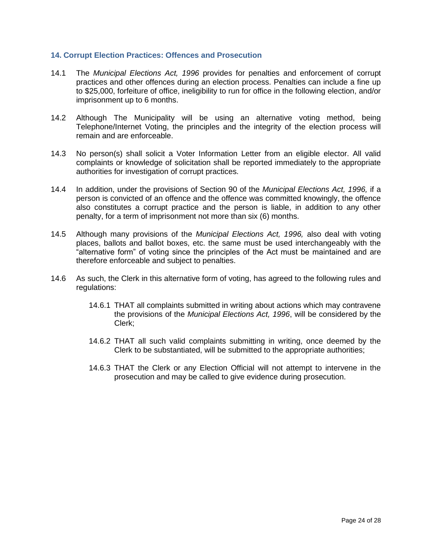#### <span id="page-23-0"></span>**14. Corrupt Election Practices: Offences and Prosecution**

- 14.1 The *Municipal Elections Act, 1996* provides for penalties and enforcement of corrupt practices and other offences during an election process. Penalties can include a fine up to \$25,000, forfeiture of office, ineligibility to run for office in the following election, and/or imprisonment up to 6 months.
- 14.2 Although The Municipality will be using an alternative voting method, being Telephone/Internet Voting, the principles and the integrity of the election process will remain and are enforceable.
- 14.3 No person(s) shall solicit a Voter Information Letter from an eligible elector. All valid complaints or knowledge of solicitation shall be reported immediately to the appropriate authorities for investigation of corrupt practices.
- 14.4 In addition, under the provisions of Section 90 of the *Municipal Elections Act, 1996,* if a person is convicted of an offence and the offence was committed knowingly, the offence also constitutes a corrupt practice and the person is liable, in addition to any other penalty, for a term of imprisonment not more than six (6) months.
- 14.5 Although many provisions of the *Municipal Elections Act, 1996,* also deal with voting places, ballots and ballot boxes, etc. the same must be used interchangeably with the "alternative form" of voting since the principles of the Act must be maintained and are therefore enforceable and subject to penalties.
- 14.6 As such, the Clerk in this alternative form of voting, has agreed to the following rules and regulations:
	- 14.6.1 THAT all complaints submitted in writing about actions which may contravene the provisions of the *Municipal Elections Act, 1996*, will be considered by the Clerk;
	- 14.6.2 THAT all such valid complaints submitting in writing, once deemed by the Clerk to be substantiated, will be submitted to the appropriate authorities;
	- 14.6.3 THAT the Clerk or any Election Official will not attempt to intervene in the prosecution and may be called to give evidence during prosecution.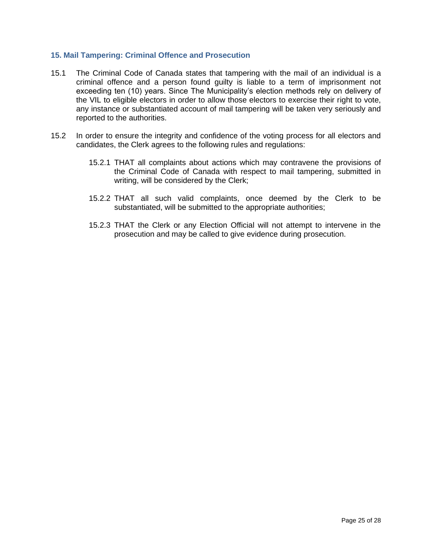#### <span id="page-24-0"></span>**15. Mail Tampering: Criminal Offence and Prosecution**

- 15.1 The Criminal Code of Canada states that tampering with the mail of an individual is a criminal offence and a person found guilty is liable to a term of imprisonment not exceeding ten (10) years. Since The Municipality's election methods rely on delivery of the VIL to eligible electors in order to allow those electors to exercise their right to vote, any instance or substantiated account of mail tampering will be taken very seriously and reported to the authorities.
- 15.2 In order to ensure the integrity and confidence of the voting process for all electors and candidates, the Clerk agrees to the following rules and regulations:
	- 15.2.1 THAT all complaints about actions which may contravene the provisions of the Criminal Code of Canada with respect to mail tampering, submitted in writing, will be considered by the Clerk;
	- 15.2.2 THAT all such valid complaints, once deemed by the Clerk to be substantiated, will be submitted to the appropriate authorities;
	- 15.2.3 THAT the Clerk or any Election Official will not attempt to intervene in the prosecution and may be called to give evidence during prosecution.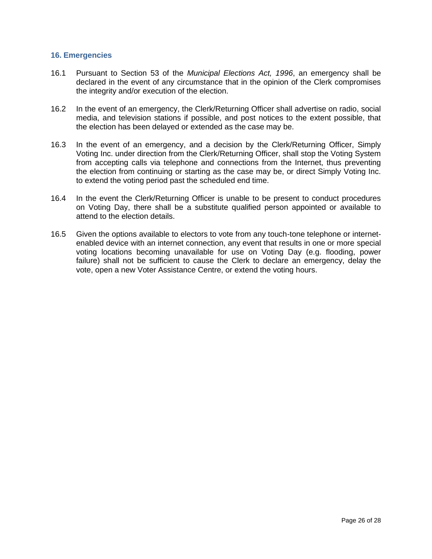#### <span id="page-25-0"></span>**16. Emergencies**

- 16.1 Pursuant to Section 53 of the *Municipal Elections Act, 1996*, an emergency shall be declared in the event of any circumstance that in the opinion of the Clerk compromises the integrity and/or execution of the election.
- 16.2 In the event of an emergency, the Clerk/Returning Officer shall advertise on radio, social media, and television stations if possible, and post notices to the extent possible, that the election has been delayed or extended as the case may be.
- 16.3 In the event of an emergency, and a decision by the Clerk/Returning Officer, Simply Voting Inc. under direction from the Clerk/Returning Officer, shall stop the Voting System from accepting calls via telephone and connections from the Internet, thus preventing the election from continuing or starting as the case may be, or direct Simply Voting Inc. to extend the voting period past the scheduled end time.
- 16.4 In the event the Clerk/Returning Officer is unable to be present to conduct procedures on Voting Day, there shall be a substitute qualified person appointed or available to attend to the election details.
- 16.5 Given the options available to electors to vote from any touch-tone telephone or internetenabled device with an internet connection, any event that results in one or more special voting locations becoming unavailable for use on Voting Day (e.g. flooding, power failure) shall not be sufficient to cause the Clerk to declare an emergency, delay the vote, open a new Voter Assistance Centre, or extend the voting hours.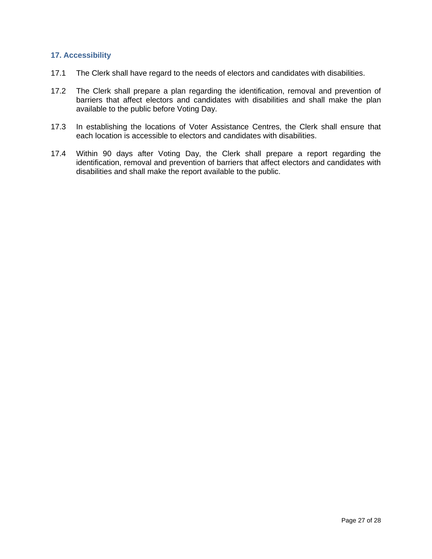#### <span id="page-26-0"></span>**17. Accessibility**

- 17.1 The Clerk shall have regard to the needs of electors and candidates with disabilities.
- 17.2 The Clerk shall prepare a plan regarding the identification, removal and prevention of barriers that affect electors and candidates with disabilities and shall make the plan available to the public before Voting Day.
- 17.3 In establishing the locations of Voter Assistance Centres, the Clerk shall ensure that each location is accessible to electors and candidates with disabilities.
- 17.4 Within 90 days after Voting Day, the Clerk shall prepare a report regarding the identification, removal and prevention of barriers that affect electors and candidates with disabilities and shall make the report available to the public.